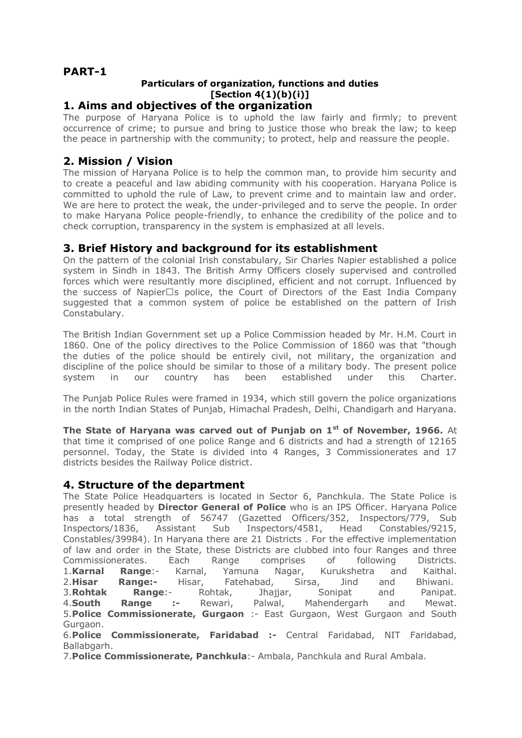# **PART-1**

#### **Particulars of organization, functions and duties [Section 4(1)(b)(i)] 1. Aims and objectives of the organization**

The purpose of Haryana Police is to uphold the law fairly and firmly; to prevent occurrence of crime; to pursue and bring to justice those who break the law; to keep the peace in partnership with the community; to protect, help and reassure the people.

# **2. Mission / Vision**

The mission of Haryana Police is to help the common man, to provide him security and to create a peaceful and law abiding community with his cooperation. Haryana Police is committed to uphold the rule of Law, to prevent crime and to maintain law and order. We are here to protect the weak, the under-privileged and to serve the people. In order to make Haryana Police people-friendly, to enhance the credibility of the police and to check corruption, transparency in the system is emphasized at all levels.

## **3. Brief History and background for its establishment**

On the pattern of the colonial Irish constabulary, Sir Charles Napier established a police system in Sindh in 1843. The British Army Officers closely supervised and controlled forces which were resultantly more disciplined, efficient and not corrupt. Influenced by the success of Napier' s police, the Court of Directors of the East India Company suggested that a common system of police be established on the pattern of Irish Constabulary.

The British Indian Government set up a Police Commission headed by Mr. H.M. Court in 1860. One of the policy directives to the Police Commission of 1860 was that "though the duties of the police should be entirely civil, not military, the organization and discipline of the police should be similar to those of a military body. The present police system in our country has been established under this Charter.

The Punjab Police Rules were framed in 1934, which still govern the police organizations in the north Indian States of Punjab, Himachal Pradesh, Delhi, Chandigarh and Haryana.

**The State of Haryana was carved out of Punjab on 1st of November, 1966.** At that time it comprised of one police Range and 6 districts and had a strength of 12165 personnel. Today, the State is divided into 4 Ranges, 3 Commissionerates and 17 districts besides the Railway Police district.

#### **4. Structure of the department**

The State Police Headquarters is located in Sector 6, Panchkula. The State Police is presently headed by **Director General of Police** who is an IPS Officer. Haryana Police has a total strength of 56747 (Gazetted Officers/352, Inspectors/779, Sub Inspectors/1836, Assistant Sub Inspectors/4581, Head Constables/9215, Constables/39984). In Haryana there are 21 Districts . For the effective implementation of law and order in the State, these Districts are clubbed into four Ranges and three Commissionerates. Each Range comprises of following Districts. 1.**Karnal Range**:- Karnal, Yamuna Nagar, Kurukshetra and Kaithal. 2.**Hisar Range:-** Hisar, Fatehabad, Sirsa, Jind and Bhiwani. 3.**Rohtak Range**:- Rohtak, Jhajjar, Sonipat and Panipat. 4.**South Range :-** Rewari, Palwal, Mahendergarh and Mewat. 5.**Police Commissionerate, Gurgaon** :- East Gurgaon, West Gurgaon and South Gurgaon.

6.**Police Commissionerate, Faridabad :-** Central Faridabad, NIT Faridabad, Ballabgarh.

7.**Police Commissionerate, Panchkula**:- Ambala, Panchkula and Rural Ambala.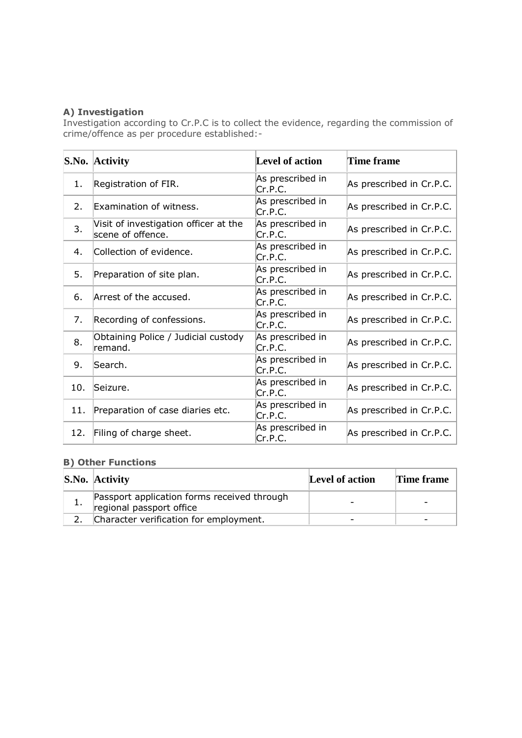#### **A) Investigation**

Investigation according to Cr.P.C is to collect the evidence, regarding the commission of crime/offence as per procedure established:-

|                  | S.No. Activity                                             | <b>Level of action</b>      | Time frame               |
|------------------|------------------------------------------------------------|-----------------------------|--------------------------|
| 1.               | Registration of FIR.                                       | As prescribed in<br>Cr.P.C. | As prescribed in Cr.P.C. |
| $\overline{2}$ . | Examination of witness.                                    | As prescribed in<br>Cr.P.C. | As prescribed in Cr.P.C. |
| 3.               | Visit of investigation officer at the<br>scene of offence. | As prescribed in<br>Cr.P.C. | As prescribed in Cr.P.C. |
| 4.               | Collection of evidence.                                    | As prescribed in<br>Cr.P.C. | As prescribed in Cr.P.C. |
| 5.               | Preparation of site plan.                                  | As prescribed in<br>Cr.P.C. | As prescribed in Cr.P.C. |
| 6.               | Arrest of the accused.                                     | As prescribed in<br>Cr.P.C. | As prescribed in Cr.P.C. |
| 7.               | Recording of confessions.                                  | As prescribed in<br>Cr.P.C. | As prescribed in Cr.P.C. |
| 8.               | Obtaining Police / Judicial custody<br>remand.             | As prescribed in<br>Cr.P.C. | As prescribed in Cr.P.C. |
| 9.               | Search.                                                    | As prescribed in<br>Cr.P.C. | As prescribed in Cr.P.C. |
| 10.              | Seizure.                                                   | As prescribed in<br>Cr.P.C. | As prescribed in Cr.P.C. |
| 11.              | Preparation of case diaries etc.                           | As prescribed in<br>Cr.P.C. | As prescribed in Cr.P.C. |
| 12.              | Filing of charge sheet.                                    | As prescribed in<br>Cr.P.C. | As prescribed in Cr.P.C. |

## **B) Other Functions**

| S.No. Activity                                                          | Level of action | Time frame |
|-------------------------------------------------------------------------|-----------------|------------|
| Passport application forms received through<br>regional passport office |                 |            |
| Character verification for employment.                                  |                 |            |